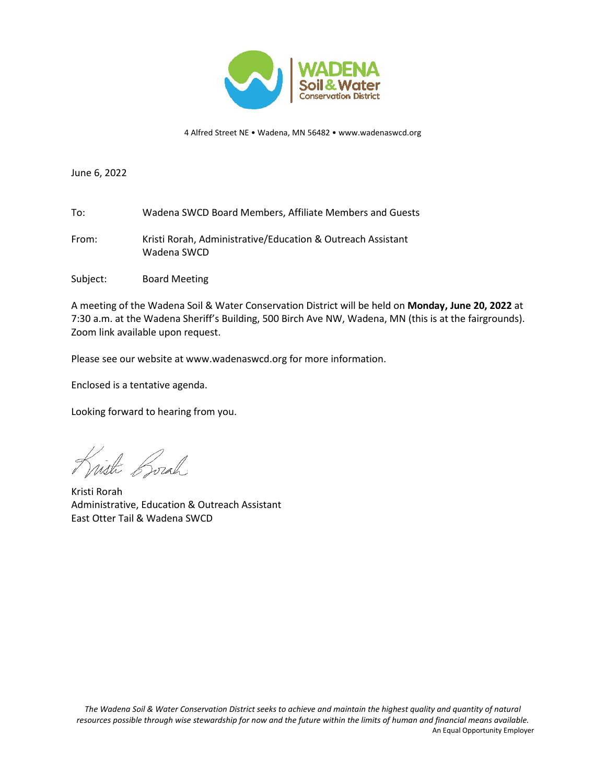

4 Alfred Street NE • Wadena, MN 56482 • www.wadenaswcd.org

June 6, 2022

- To: Wadena SWCD Board Members, Affiliate Members and Guests
- From: Kristi Rorah, Administrative/Education & Outreach Assistant Wadena SWCD
- Subject: Board Meeting

A meeting of the Wadena Soil & Water Conservation District will be held on **Monday, June 20, 2022** at 7:30 a.m. at the Wadena Sheriff's Building, 500 Birch Ave NW, Wadena, MN (this is at the fairgrounds). Zoom link available upon request.

Please see our website at www.wadenaswcd.org for more information.

Enclosed is a tentative agenda.

Looking forward to hearing from you.

Wisti Borah

Kristi Rorah Administrative, Education & Outreach Assistant East Otter Tail & Wadena SWCD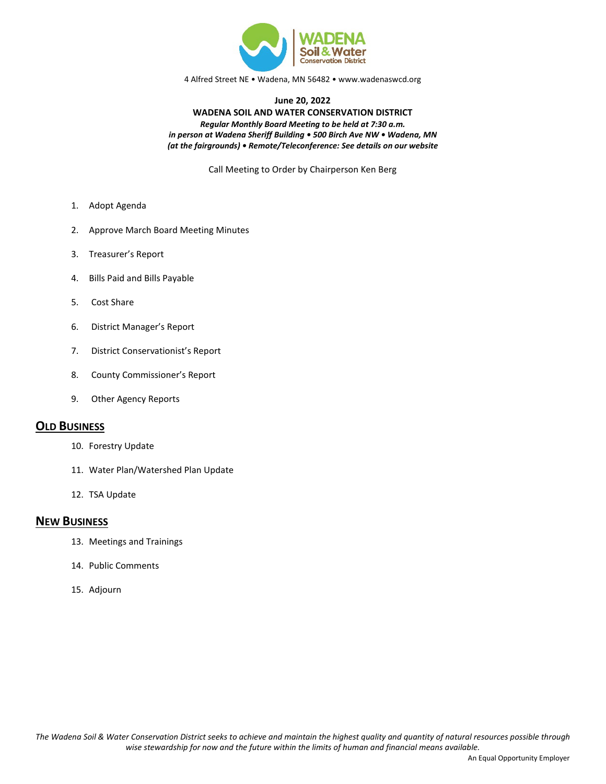

4 Alfred Street NE • Wadena, MN 56482 • www.wadenaswcd.org

#### **June 20, 2022 WADENA SOIL AND WATER CONSERVATION DISTRICT** *Regular Monthly Board Meeting to be held at 7:30 a.m. in person at Wadena Sheriff Building • 500 Birch Ave NW • Wadena, MN (at the fairgrounds) • Remote/Teleconference: See details on our website*

Call Meeting to Order by Chairperson Ken Berg

- 1. Adopt Agenda
- 2. Approve March Board Meeting Minutes
- 3. Treasurer's Report
- 4. Bills Paid and Bills Payable
- 5. Cost Share
- 6. District Manager's Report
- 7. District Conservationist's Report
- 8. County Commissioner's Report
- 9. Other Agency Reports

#### **OLD BUSINESS**

- 10. Forestry Update
- 11. Water Plan/Watershed Plan Update
- 12. TSA Update

### **NEW BUSINESS**

- 13. Meetings and Trainings
- 14. Public Comments
- 15. Adjourn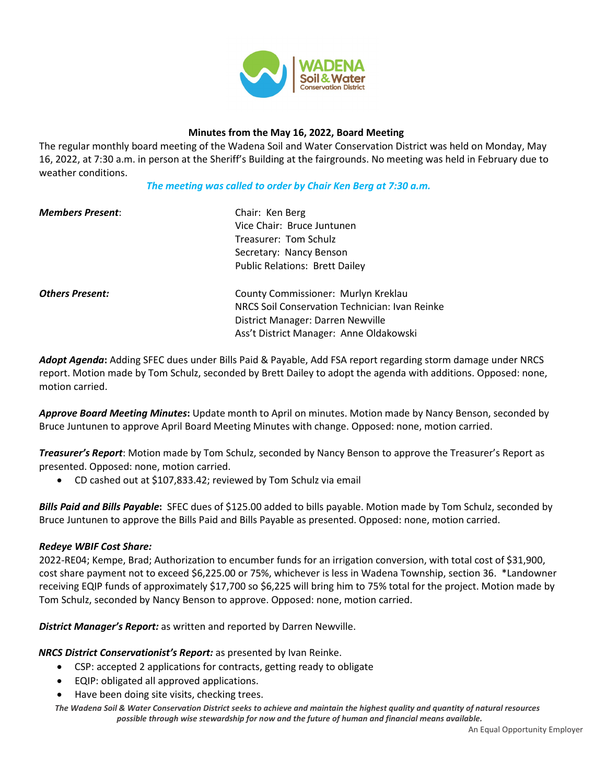

### **Minutes from the May 16, 2022, Board Meeting**

The regular monthly board meeting of the Wadena Soil and Water Conservation District was held on Monday, May 16, 2022, at 7:30 a.m. in person at the Sheriff's Building at the fairgrounds. No meeting was held in February due to weather conditions.

*The meeting was called to order by Chair Ken Berg at 7:30 a.m.*

| <b>Members Present:</b> | Chair: Ken Berg                                |
|-------------------------|------------------------------------------------|
|                         | Vice Chair: Bruce Juntunen                     |
|                         | Treasurer: Tom Schulz                          |
|                         | Secretary: Nancy Benson                        |
|                         | <b>Public Relations: Brett Dailey</b>          |
| <b>Others Present:</b>  | County Commissioner: Murlyn Kreklau            |
|                         | NRCS Soil Conservation Technician: Ivan Reinke |
|                         | District Manager: Darren Newville              |
|                         | Ass't District Manager: Anne Oldakowski        |
|                         |                                                |

*Adopt Agenda***:** Adding SFEC dues under Bills Paid & Payable, Add FSA report regarding storm damage under NRCS report. Motion made by Tom Schulz, seconded by Brett Dailey to adopt the agenda with additions. Opposed: none, motion carried.

*Approve Board Meeting Minutes***:** Update month to April on minutes. Motion made by Nancy Benson, seconded by Bruce Juntunen to approve April Board Meeting Minutes with change. Opposed: none, motion carried.

*Treasurer's Report*: Motion made by Tom Schulz, seconded by Nancy Benson to approve the Treasurer's Report as presented. Opposed: none, motion carried.

• CD cashed out at \$107,833.42; reviewed by Tom Schulz via email

*Bills Paid and Bills Payable***:** SFEC dues of \$125.00 added to bills payable. Motion made by Tom Schulz, seconded by Bruce Juntunen to approve the Bills Paid and Bills Payable as presented. Opposed: none, motion carried.

## *Redeye WBIF Cost Share:*

2022-RE04; Kempe, Brad; Authorization to encumber funds for an irrigation conversion, with total cost of \$31,900, cost share payment not to exceed \$6,225.00 or 75%, whichever is less in Wadena Township, section 36. \*Landowner receiving EQIP funds of approximately \$17,700 so \$6,225 will bring him to 75% total for the project. Motion made by Tom Schulz, seconded by Nancy Benson to approve. Opposed: none, motion carried.

*District Manager's Report:* as written and reported by Darren Newville.

*NRCS District Conservationist's Report:* as presented by Ivan Reinke.

- CSP: accepted 2 applications for contracts, getting ready to obligate
- EQIP: obligated all approved applications.
- Have been doing site visits, checking trees.

*The Wadena Soil & Water Conservation District seeks to achieve and maintain the highest quality and quantity of natural resources possible through wise stewardship for now and the future of human and financial means available.*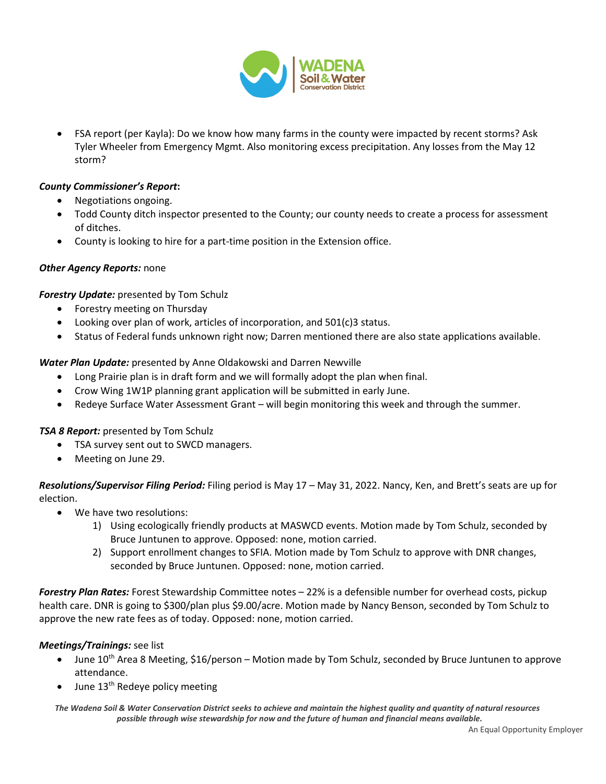

• FSA report (per Kayla): Do we know how many farms in the county were impacted by recent storms? Ask Tyler Wheeler from Emergency Mgmt. Also monitoring excess precipitation. Any losses from the May 12 storm?

# *County Commissioner's Report***:**

- Negotiations ongoing.
- Todd County ditch inspector presented to the County; our county needs to create a process for assessment of ditches.
- County is looking to hire for a part-time position in the Extension office.

## *Other Agency Reports:* none

*Forestry Update:* presented by Tom Schulz

- Forestry meeting on Thursday
- Looking over plan of work, articles of incorporation, and 501(c)3 status.
- Status of Federal funds unknown right now; Darren mentioned there are also state applications available.

*Water Plan Update:* presented by Anne Oldakowski and Darren Newville

- Long Prairie plan is in draft form and we will formally adopt the plan when final.
- Crow Wing 1W1P planning grant application will be submitted in early June.
- Redeye Surface Water Assessment Grant will begin monitoring this week and through the summer.

## *TSA 8 Report:* presented by Tom Schulz

- TSA survey sent out to SWCD managers.
- Meeting on June 29.

*Resolutions/Supervisor Filing Period:* Filing period is May 17 – May 31, 2022. Nancy, Ken, and Brett's seats are up for election.

- We have two resolutions:
	- 1) Using ecologically friendly products at MASWCD events. Motion made by Tom Schulz, seconded by Bruce Juntunen to approve. Opposed: none, motion carried.
	- 2) Support enrollment changes to SFIA. Motion made by Tom Schulz to approve with DNR changes, seconded by Bruce Juntunen. Opposed: none, motion carried.

*Forestry Plan Rates:* Forest Stewardship Committee notes – 22% is a defensible number for overhead costs, pickup health care. DNR is going to \$300/plan plus \$9.00/acre. Motion made by Nancy Benson, seconded by Tom Schulz to approve the new rate fees as of today. Opposed: none, motion carried.

## *Meetings/Trainings:* see list

- June  $10^{th}$  Area 8 Meeting, \$16/person Motion made by Tom Schulz, seconded by Bruce Juntunen to approve attendance.
- June  $13<sup>th</sup>$  Redeye policy meeting

*The Wadena Soil & Water Conservation District seeks to achieve and maintain the highest quality and quantity of natural resources possible through wise stewardship for now and the future of human and financial means available.*